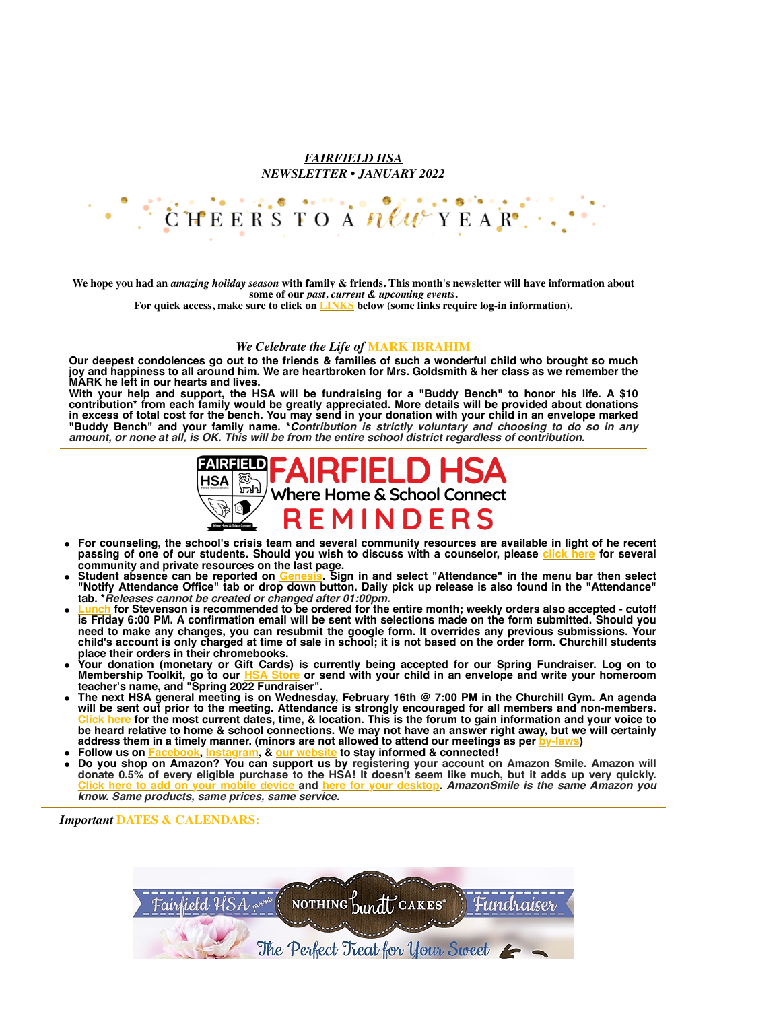## *FAIRFIELD HSA NEWSLETTER • JANUARY 2022*



**We hope you had an** *amazing holiday season* **with family & friends. This month's newsletter will have information about some of our** *past, current & upcoming events***.**

**For quick access, make sure to click on [LINKS](http://fairfieldhsa.org/) below (some links require log-in information).**

## *We Celebrate the Life of* **MARK IBRAHIM**

**Our deepest condolences go out to the friends & families of such a wonderful child who brought so much joy and happiness to all around him. We are heartbroken for Mrs. Goldsmith & her class as we remember the MARK he left in our hearts and lives.**

**With your help and support, the HSA will be fundraising for a "Buddy Bench" to honor his life. A \$10 contribution\* from each family would be greatly appreciated. More details will be provided about donations in excess of total cost for the bench. You may send in your donation with your child in an envelope marked "Buddy Bench" and your family name. \****Contribution is strictly voluntary and choosing to do so in any amount, or none at all, is OK. This will be from the entire school district regardless of contribution.*



- **For counseling, the school's crisis team and several community resources are available in light of he recent passing of one of our students. Should you wish to discuss with a counselor, please [click here](http://209.18.101.124/fps/Announcements/12.29.21%20letter.pdf?1641398549) for several community and private resources on the last page.**
- **Student absence can be reported on [Genesis.](https://parents.genesisedu.com/fairfield/parents?tab1=studentdata&tab2=attendance&tab3=transport&action=form&studentid=2029834) Sign in and select "Attendance" in the menu bar then select "Notify Attendance Office" tab or drop down button. Daily pick up release is also found in the "Attendance" tab. \****Releases cannot be created or changed after 01:00pm.*
- **Lubch** for Stevenson is recommended to be ordered for the entire month; weekly orders also accepted cutoff **is Friday 6:00 PM. A confirmation email will be sent with selections made on the form submitted. Should you need to make any changes, you can resubmit the google form. It overrides any previous submissions. Your child's account is only charged at time of sale in school; it is not based on the order form. Churchill students place their orders in their chromebooks.**
- **Your donation (monetary or Gift Cards) is currently being accepted for our Spring Fundraiser. Log on to Membership Toolkit, go to our [HSA Store](https://fairfieldhsa.membershiptoolkit.com/login-form?r=/) or send with your child in an envelope and write your homeroom teacher's name, and "Spring 2022 Fundraiser".**
- **The next HSA general meeting is on Wednesday, February 16th @ 7:00 PM in the Churchill Gym. An agenda will be sent out prior to the meeting. Attendance is strongly encouraged for all members and non-members. [Click here](https://fairfieldhsa.org/hsa-meeting-dates) for the most current dates, time, & location. This is the forum to gain information and your voice to be heard relative to home & school connections. We may not have an answer right away, but we will certainly address them in a timely manner. (minors are not allowed to attend our meetings as per [by-laws](https://fairfieldhsa.org/wp-content/uploads/2021/04/Fairfield-HSA-By-laws-2021-to-2023.pdf))**
- **Follow us on [Facebook,](https://www.facebook.com/fairfieldhsa) [Instagram,](https://www.instagram.com/fairfield_hsa/) & [our website](http://www.fairfieldhsa.org/) to stay informed & connected!**
- **Do you shop on Amazon? You can support us by registering your account on Amazon Smile. Amazon will donate 0.5% of every eligible purchase to the HSA! It doesn't seem like much, but it adds up very quickly. [Click here to add on your mobile device](https://fairfieldhsa.org/wp-content/uploads/2022/01/amzSmlAppSteps.pdf) and [here for your desktop.](https://fairfieldhsa.org/wp-content/uploads/2021/08/Amazon-B2S-2.png)** *AmazonSmile is the same Amazon you know. Same products, same prices, same service.*

*Important* **DATES & CALENDARS:**

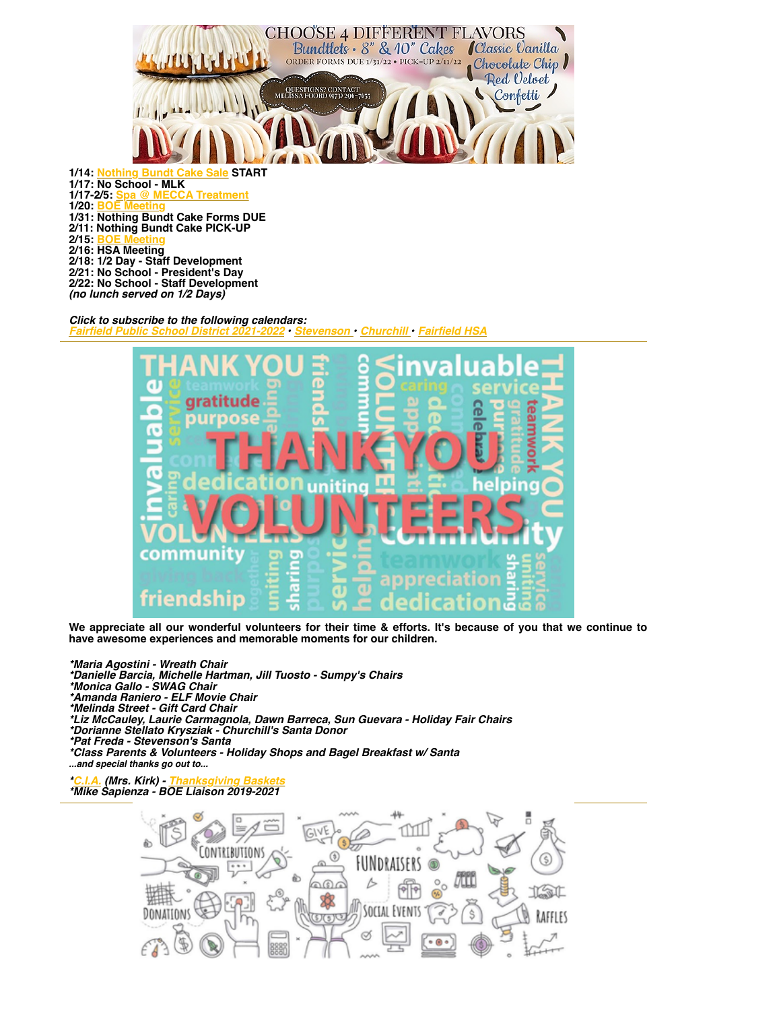

*Click to subscribe to the following calendars: [Fairfield Public School District 2021-2022](http://209.18.101.124/fps/Calendars/2021-2022%20%20Calendar.pdf?1641351763) • [Stevenson •](http://209.18.101.124/fps/AES/) [Churchill](http://209.18.101.124/fps/WSC/) • [Fairfield HSA](https://fairfieldhsa.org/calendar-events)*



**We appreciate all our wonderful volunteers for their time & efforts. It's because of you that we continue to have awesome experiences and memorable moments for our children.**

*\*Maria Agostini - Wreath Chair \*Danielle Barcia, Michelle Hartman, Jill Tuosto - Sumpy's Chairs \*Monica Gallo - SWAG Chair \*Amanda Raniero - ELF Movie Chair \*Melinda Street - Gift Card Chair \*Liz McCauley, Laurie Carmagnola, Dawn Barreca, Sun Guevara - Holiday Fair Chairs \*Dorianne Stellato Krysziak - Churchill's Santa Donor \*Pat Freda - Stevenson's Santa \*Class Parents & Volunteers - Holiday Shops and Bagel Breakfast w/ Santa ...and special thanks go out to...*

*[\\*C.I.A.](http://209.18.101.124/fps/WSC/Quick%20Links/C.I.A-%20Letter%20to%20parents.pdf?1641835381) (Mrs. Kirk) - [Thanksgiving Baskets](https://fairfieldhsa.org/wp-content/uploads/2022/01/Thanksgiving.jpg) \*Mike Sapienza - BOE Liaison 2019-2021*